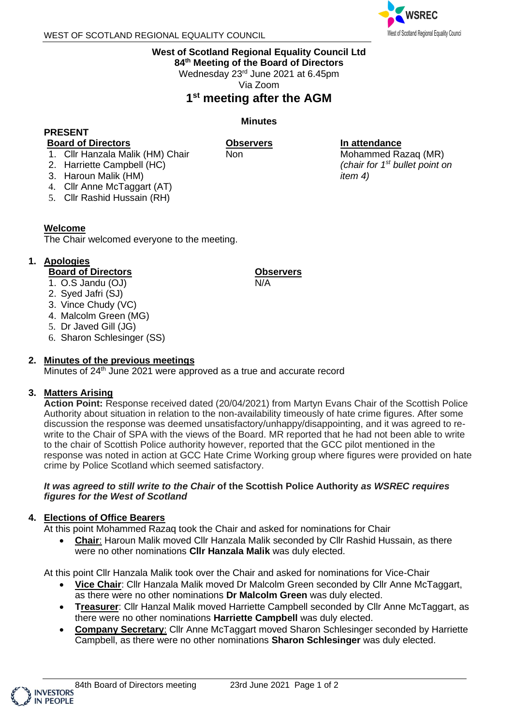

### **West of Scotland Regional Equality Council Ltd**

**84 th Meeting of the Board of Directors**

Wednesday 23<sup>rd</sup> June 2021 at 6.45pm

Via Zoom

# **1 st meeting after the AGM**

**Minutes**

**Observers**

Non

### **PRESENT**

#### **Board of Directors**

- 
- 1. Cllr Hanzala Malik (HM) Chair
- 2. Harriette Campbell (HC)
- 3. Haroun Malik (HM)
- 4. Cllr Anne McTaggart (AT)
- 5. Cllr Rashid Hussain (RH)

### **Welcome**

The Chair welcomed everyone to the meeting.

## **1. Apologies**

## **Board of Directors**

- 1. O.S Jandu (OJ)
- 2. Syed Jafri (SJ)
- 3. Vince Chudy (VC)
- 4. Malcolm Green (MG)
- 5. Dr Javed Gill (JG)
- 6. Sharon Schlesinger (SS)

## **2. Minutes of the previous meetings**

Minutes of  $24<sup>th</sup>$  June 2021 were approved as a true and accurate record

## **3. Matters Arising**

**Action Point:** Response received dated (20/04/2021) from Martyn Evans Chair of the Scottish Police Authority about situation in relation to the non-availability timeously of hate crime figures. After some discussion the response was deemed unsatisfactory/unhappy/disappointing, and it was agreed to rewrite to the Chair of SPA with the views of the Board. MR reported that he had not been able to write to the chair of Scottish Police authority however, reported that the GCC pilot mentioned in the response was noted in action at GCC Hate Crime Working group where figures were provided on hate crime by Police Scotland which seemed satisfactory.

#### *It was agreed to still write to the Chair* **of the Scottish Police Authority** *as WSREC requires figures for the West of Scotland*

## **4. Elections of Office Bearers**

At this point Mohammed Razaq took the Chair and asked for nominations for Chair

• **Chair**: Haroun Malik moved Cllr Hanzala Malik seconded by Cllr Rashid Hussain, as there were no other nominations **Cllr Hanzala Malik** was duly elected.

At this point Cllr Hanzala Malik took over the Chair and asked for nominations for Vice-Chair

- **Vice Chair**: Cllr Hanzala Malik moved Dr Malcolm Green seconded by Cllr Anne McTaggart, as there were no other nominations **Dr Malcolm Green** was duly elected.
- **Treasurer**: Cllr Hanzal Malik moved Harriette Campbell seconded by Cllr Anne McTaggart, as there were no other nominations **Harriette Campbell** was duly elected.
- **Company Secretary**: Cllr Anne McTaggart moved Sharon Schlesinger seconded by Harriette Campbell, as there were no other nominations **Sharon Schlesinger** was duly elected.

## **Observers**

N/A

#### **In attendance**

Mohammed Razaq (MR) *(chair for 1 st bullet point on item 4)*